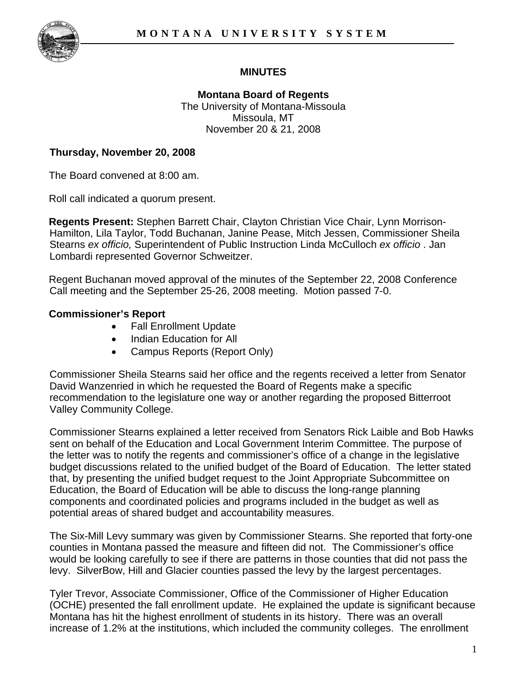

# **MINUTES**

**Montana Board of Regents**  The University of Montana-Missoula Missoula, MT November 20 & 21, 2008

#### **Thursday, November 20, 2008**

The Board convened at 8:00 am.

Roll call indicated a quorum present.

**Regents Present:** Stephen Barrett Chair, Clayton Christian Vice Chair, Lynn Morrison-Hamilton, Lila Taylor, Todd Buchanan, Janine Pease, Mitch Jessen, Commissioner Sheila Stearns *ex officio,* Superintendent of Public Instruction Linda McCulloch *ex officio* . Jan Lombardi represented Governor Schweitzer.

Regent Buchanan moved approval of the minutes of the September 22, 2008 Conference Call meeting and the September 25-26, 2008 meeting. Motion passed 7-0.

#### **Commissioner's Report**

- Fall Enrollment Update
- Indian Education for All
- Campus Reports (Report Only)

Commissioner Sheila Stearns said her office and the regents received a letter from Senator David Wanzenried in which he requested the Board of Regents make a specific recommendation to the legislature one way or another regarding the proposed Bitterroot Valley Community College.

Commissioner Stearns explained a letter received from Senators Rick Laible and Bob Hawks sent on behalf of the Education and Local Government Interim Committee. The purpose of the letter was to notify the regents and commissioner's office of a change in the legislative budget discussions related to the unified budget of the Board of Education. The letter stated that, by presenting the unified budget request to the Joint Appropriate Subcommittee on Education, the Board of Education will be able to discuss the long-range planning components and coordinated policies and programs included in the budget as well as potential areas of shared budget and accountability measures.

The Six-Mill Levy summary was given by Commissioner Stearns. She reported that forty-one counties in Montana passed the measure and fifteen did not. The Commissioner's office would be looking carefully to see if there are patterns in those counties that did not pass the levy. SilverBow, Hill and Glacier counties passed the levy by the largest percentages.

Tyler Trevor, Associate Commissioner, Office of the Commissioner of Higher Education (OCHE) presented the fall enrollment update. He explained the update is significant because Montana has hit the highest enrollment of students in its history. There was an overall increase of 1.2% at the institutions, which included the community colleges. The enrollment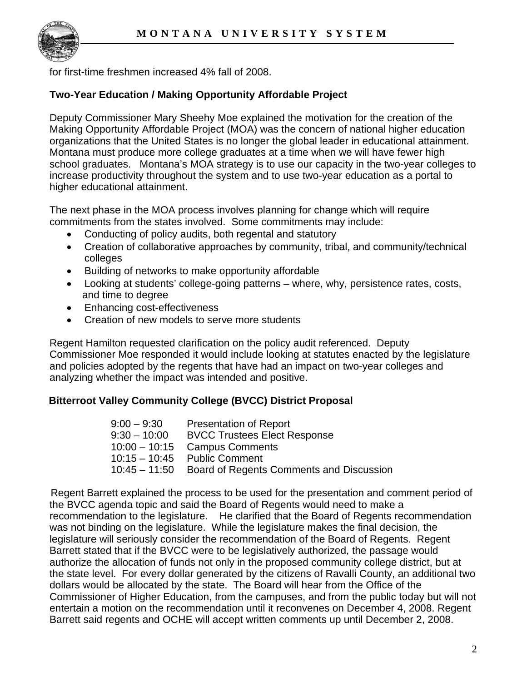

for first-time freshmen increased 4% fall of 2008.

## **Two-Year Education / Making Opportunity Affordable Project**

Deputy Commissioner Mary Sheehy Moe explained the motivation for the creation of the Making Opportunity Affordable Project (MOA) was the concern of national higher education organizations that the United States is no longer the global leader in educational attainment. Montana must produce more college graduates at a time when we will have fewer high school graduates. Montana's MOA strategy is to use our capacity in the two-year colleges to increase productivity throughout the system and to use two-year education as a portal to higher educational attainment.

The next phase in the MOA process involves planning for change which will require commitments from the states involved. Some commitments may include:

- Conducting of policy audits, both regental and statutory
- Creation of collaborative approaches by community, tribal, and community/technical colleges
- Building of networks to make opportunity affordable
- Looking at students' college-going patterns where, why, persistence rates, costs, and time to degree
- Enhancing cost-effectiveness
- Creation of new models to serve more students

Regent Hamilton requested clarification on the policy audit referenced. Deputy Commissioner Moe responded it would include looking at statutes enacted by the legislature and policies adopted by the regents that have had an impact on two-year colleges and analyzing whether the impact was intended and positive.

## **Bitterroot Valley Community College (BVCC) District Proposal**

| $9:00 - 9:30$  | <b>Presentation of Report</b>                          |
|----------------|--------------------------------------------------------|
| $9:30 - 10:00$ | <b>BVCC Trustees Elect Response</b>                    |
|                | $10:00 - 10:15$ Campus Comments                        |
|                | $10:15-10:45$ Public Comment                           |
|                | 10:45 - 11:50 Board of Regents Comments and Discussion |

 Regent Barrett explained the process to be used for the presentation and comment period of the BVCC agenda topic and said the Board of Regents would need to make a recommendation to the legislature. He clarified that the Board of Regents recommendation was not binding on the legislature. While the legislature makes the final decision, the legislature will seriously consider the recommendation of the Board of Regents. Regent Barrett stated that if the BVCC were to be legislatively authorized, the passage would authorize the allocation of funds not only in the proposed community college district, but at the state level. For every dollar generated by the citizens of Ravalli County, an additional two dollars would be allocated by the state. The Board will hear from the Office of the Commissioner of Higher Education, from the campuses, and from the public today but will not entertain a motion on the recommendation until it reconvenes on December 4, 2008. Regent Barrett said regents and OCHE will accept written comments up until December 2, 2008.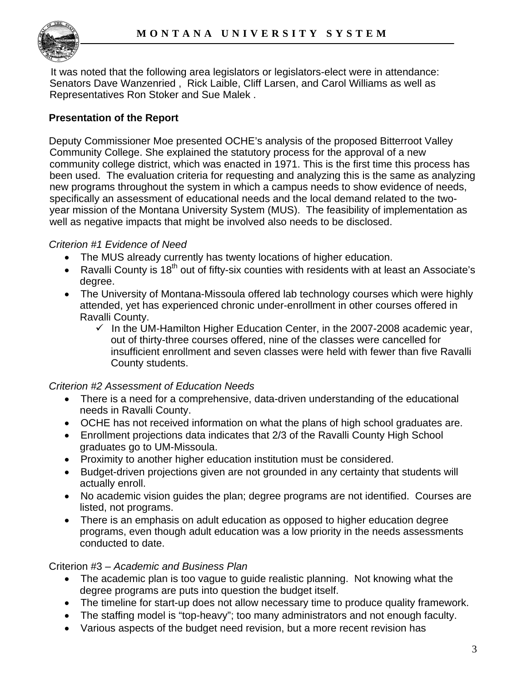

 It was noted that the following area legislators or legislators-elect were in attendance: Senators Dave Wanzenried , Rick Laible, Cliff Larsen, and Carol Williams as well as Representatives Ron Stoker and Sue Malek .

## **Presentation of the Report**

Deputy Commissioner Moe presented OCHE's analysis of the proposed Bitterroot Valley Community College. She explained the statutory process for the approval of a new community college district, which was enacted in 1971. This is the first time this process has been used. The evaluation criteria for requesting and analyzing this is the same as analyzing new programs throughout the system in which a campus needs to show evidence of needs, specifically an assessment of educational needs and the local demand related to the twoyear mission of the Montana University System (MUS). The feasibility of implementation as well as negative impacts that might be involved also needs to be disclosed.

#### *Criterion #1 Evidence of Need*

- The MUS already currently has twenty locations of higher education.
- Ravalli County is 18<sup>th</sup> out of fifty-six counties with residents with at least an Associate's degree.
- The University of Montana-Missoula offered lab technology courses which were highly attended, yet has experienced chronic under-enrollment in other courses offered in Ravalli County.
	- $\checkmark$  In the UM-Hamilton Higher Education Center, in the 2007-2008 academic year, out of thirty-three courses offered, nine of the classes were cancelled for insufficient enrollment and seven classes were held with fewer than five Ravalli County students.

#### *Criterion #2 Assessment of Education Needs*

- There is a need for a comprehensive, data-driven understanding of the educational needs in Ravalli County.
- OCHE has not received information on what the plans of high school graduates are.
- Enrollment projections data indicates that 2/3 of the Ravalli County High School graduates go to UM-Missoula.
- Proximity to another higher education institution must be considered.
- Budget-driven projections given are not grounded in any certainty that students will actually enroll.
- No academic vision guides the plan; degree programs are not identified. Courses are listed, not programs.
- There is an emphasis on adult education as opposed to higher education degree programs, even though adult education was a low priority in the needs assessments conducted to date.

#### Criterion #3 – *Academic and Business Plan*

- The academic plan is too vague to guide realistic planning. Not knowing what the degree programs are puts into question the budget itself.
- The timeline for start-up does not allow necessary time to produce quality framework.
- The staffing model is "top-heavy"; too many administrators and not enough faculty.
- Various aspects of the budget need revision, but a more recent revision has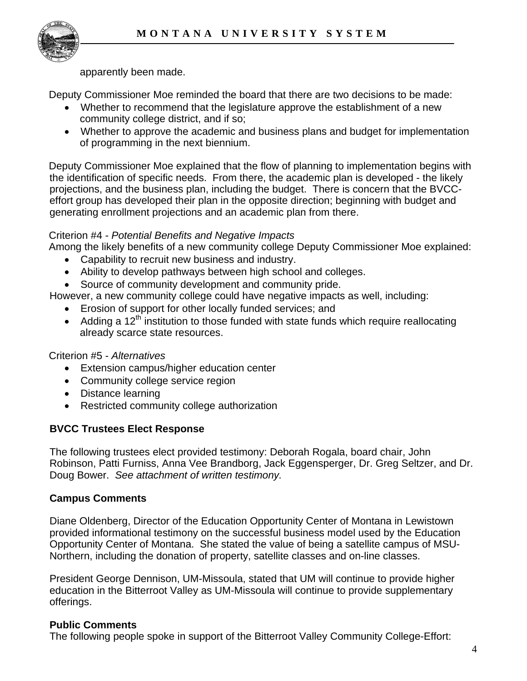

apparently been made.

Deputy Commissioner Moe reminded the board that there are two decisions to be made:

- Whether to recommend that the legislature approve the establishment of a new community college district, and if so;
- Whether to approve the academic and business plans and budget for implementation of programming in the next biennium.

Deputy Commissioner Moe explained that the flow of planning to implementation begins with the identification of specific needs. From there, the academic plan is developed - the likely projections, and the business plan, including the budget. There is concern that the BVCCeffort group has developed their plan in the opposite direction; beginning with budget and generating enrollment projections and an academic plan from there.

#### Criterion #4 - *Potential Benefits and Negative Impacts*

Among the likely benefits of a new community college Deputy Commissioner Moe explained:

- Capability to recruit new business and industry.
- Ability to develop pathways between high school and colleges.
- Source of community development and community pride.

However, a new community college could have negative impacts as well, including:

- Erosion of support for other locally funded services; and
- Adding a  $12<sup>th</sup>$  institution to those funded with state funds which require reallocating already scarce state resources.

## Criterion #5 - *Alternatives*

- Extension campus/higher education center
- Community college service region
- Distance learning
- Restricted community college authorization

## **BVCC Trustees Elect Response**

The following trustees elect provided testimony: Deborah Rogala, board chair, John Robinson, Patti Furniss, Anna Vee Brandborg, Jack Eggensperger, Dr. Greg Seltzer, and Dr. Doug Bower. *See attachment of written testimony.* 

## **Campus Comments**

Diane Oldenberg, Director of the Education Opportunity Center of Montana in Lewistown provided informational testimony on the successful business model used by the Education Opportunity Center of Montana. She stated the value of being a satellite campus of MSU-Northern, including the donation of property, satellite classes and on-line classes.

President George Dennison, UM-Missoula, stated that UM will continue to provide higher education in the Bitterroot Valley as UM-Missoula will continue to provide supplementary offerings.

#### **Public Comments**

The following people spoke in support of the Bitterroot Valley Community College-Effort: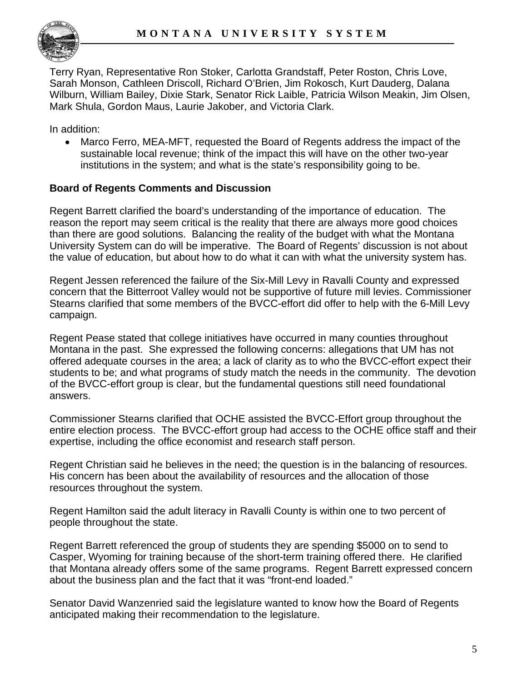Terry Ryan, Representative Ron Stoker, Carlotta Grandstaff, Peter Roston, Chris Love, Sarah Monson, Cathleen Driscoll, Richard O'Brien, Jim Rokosch, Kurt Dauderg, Dalana Wilburn, William Bailey, Dixie Stark, Senator Rick Laible, Patricia Wilson Meakin, Jim Olsen, Mark Shula, Gordon Maus, Laurie Jakober, and Victoria Clark.

In addition:

• Marco Ferro, MEA-MFT, requested the Board of Regents address the impact of the sustainable local revenue; think of the impact this will have on the other two-year institutions in the system; and what is the state's responsibility going to be.

#### **Board of Regents Comments and Discussion**

Regent Barrett clarified the board's understanding of the importance of education. The reason the report may seem critical is the reality that there are always more good choices than there are good solutions. Balancing the reality of the budget with what the Montana University System can do will be imperative. The Board of Regents' discussion is not about the value of education, but about how to do what it can with what the university system has.

Regent Jessen referenced the failure of the Six-Mill Levy in Ravalli County and expressed concern that the Bitterroot Valley would not be supportive of future mill levies. Commissioner Stearns clarified that some members of the BVCC-effort did offer to help with the 6-Mill Levy campaign.

Regent Pease stated that college initiatives have occurred in many counties throughout Montana in the past. She expressed the following concerns: allegations that UM has not offered adequate courses in the area; a lack of clarity as to who the BVCC-effort expect their students to be; and what programs of study match the needs in the community. The devotion of the BVCC-effort group is clear, but the fundamental questions still need foundational answers.

Commissioner Stearns clarified that OCHE assisted the BVCC-Effort group throughout the entire election process. The BVCC-effort group had access to the OCHE office staff and their expertise, including the office economist and research staff person.

Regent Christian said he believes in the need; the question is in the balancing of resources. His concern has been about the availability of resources and the allocation of those resources throughout the system.

Regent Hamilton said the adult literacy in Ravalli County is within one to two percent of people throughout the state.

Regent Barrett referenced the group of students they are spending \$5000 on to send to Casper, Wyoming for training because of the short-term training offered there. He clarified that Montana already offers some of the same programs. Regent Barrett expressed concern about the business plan and the fact that it was "front-end loaded."

Senator David Wanzenried said the legislature wanted to know how the Board of Regents anticipated making their recommendation to the legislature.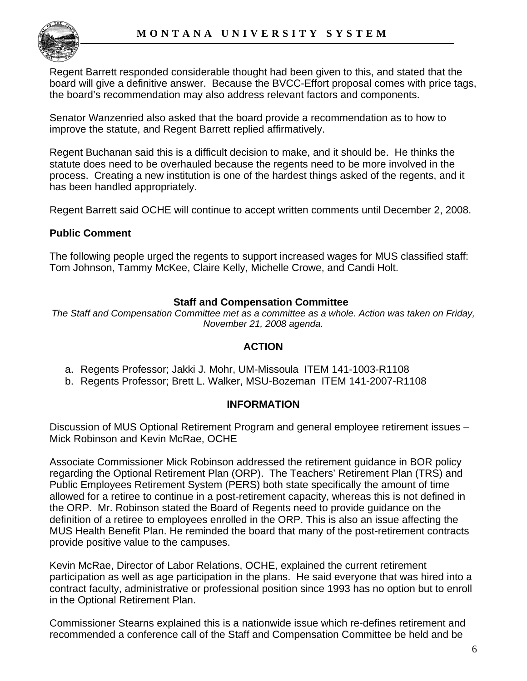

Regent Barrett responded considerable thought had been given to this, and stated that the board will give a definitive answer. Because the BVCC-Effort proposal comes with price tags, the board's recommendation may also address relevant factors and components.

Senator Wanzenried also asked that the board provide a recommendation as to how to improve the statute, and Regent Barrett replied affirmatively.

Regent Buchanan said this is a difficult decision to make, and it should be. He thinks the statute does need to be overhauled because the regents need to be more involved in the process. Creating a new institution is one of the hardest things asked of the regents, and it has been handled appropriately.

Regent Barrett said OCHE will continue to accept written comments until December 2, 2008.

#### **Public Comment**

The following people urged the regents to support increased wages for MUS classified staff: Tom Johnson, Tammy McKee, Claire Kelly, Michelle Crowe, and Candi Holt.

#### **Staff and Compensation Committee**

*The Staff and Compensation Committee met as a committee as a whole. Action was taken on Friday, November 21, 2008 agenda.* 

#### **ACTION**

- a. Regents Professor; Jakki J. Mohr, UM-Missoula ITEM 141-1003-R1108
- b. Regents Professor; Brett L. Walker, MSU-Bozeman ITEM 141-2007-R1108

#### **INFORMATION**

Discussion of MUS Optional Retirement Program and general employee retirement issues – Mick Robinson and Kevin McRae, OCHE

Associate Commissioner Mick Robinson addressed the retirement guidance in BOR policy regarding the Optional Retirement Plan (ORP). The Teachers' Retirement Plan (TRS) and Public Employees Retirement System (PERS) both state specifically the amount of time allowed for a retiree to continue in a post-retirement capacity, whereas this is not defined in the ORP. Mr. Robinson stated the Board of Regents need to provide guidance on the definition of a retiree to employees enrolled in the ORP. This is also an issue affecting the MUS Health Benefit Plan. He reminded the board that many of the post-retirement contracts provide positive value to the campuses.

Kevin McRae, Director of Labor Relations, OCHE, explained the current retirement participation as well as age participation in the plans. He said everyone that was hired into a contract faculty, administrative or professional position since 1993 has no option but to enroll in the Optional Retirement Plan.

Commissioner Stearns explained this is a nationwide issue which re-defines retirement and recommended a conference call of the Staff and Compensation Committee be held and be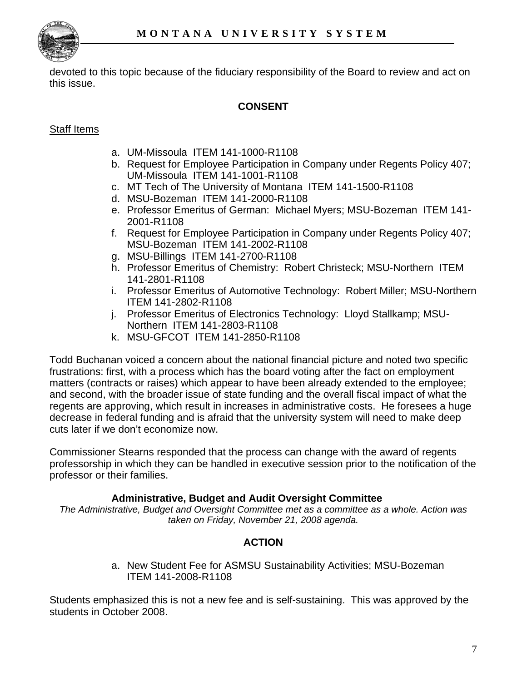

devoted to this topic because of the fiduciary responsibility of the Board to review and act on this issue.

## **CONSENT**

## Staff Items

- a. UM-Missoula ITEM 141-1000-R1108
- b. Request for Employee Participation in Company under Regents Policy 407; UM-Missoula ITEM 141-1001-R1108
- c. MT Tech of The University of Montana ITEM 141-1500-R1108
- d. MSU-Bozeman ITEM 141-2000-R1108
- e. Professor Emeritus of German: Michael Myers; MSU-Bozeman ITEM 141- 2001-R1108
- f. Request for Employee Participation in Company under Regents Policy 407; MSU-Bozeman ITEM 141-2002-R1108
- g. MSU-Billings ITEM 141-2700-R1108
- h. Professor Emeritus of Chemistry: Robert Christeck; MSU-Northern ITEM 141-2801-R1108
- i. Professor Emeritus of Automotive Technology: Robert Miller; MSU-Northern ITEM 141-2802-R1108
- j. Professor Emeritus of Electronics Technology: Lloyd Stallkamp; MSU-Northern ITEM 141-2803-R1108
- k. MSU-GFCOT ITEM 141-2850-R1108

Todd Buchanan voiced a concern about the national financial picture and noted two specific frustrations: first, with a process which has the board voting after the fact on employment matters (contracts or raises) which appear to have been already extended to the employee; and second, with the broader issue of state funding and the overall fiscal impact of what the regents are approving, which result in increases in administrative costs. He foresees a huge decrease in federal funding and is afraid that the university system will need to make deep cuts later if we don't economize now.

Commissioner Stearns responded that the process can change with the award of regents professorship in which they can be handled in executive session prior to the notification of the professor or their families.

## **Administrative, Budget and Audit Oversight Committee**

*The Administrative, Budget and Oversight Committee met as a committee as a whole. Action was taken on Friday, November 21, 2008 agenda.* 

# **ACTION**

a. New Student Fee for ASMSU Sustainability Activities; MSU-Bozeman ITEM 141-2008-R1108

Students emphasized this is not a new fee and is self-sustaining. This was approved by the students in October 2008.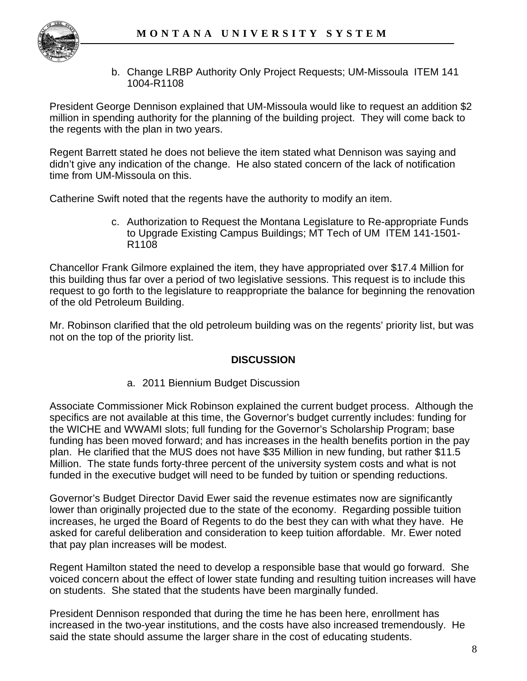

b. Change LRBP Authority Only Project Requests; UM-Missoula ITEM 141 1004-R1108

President George Dennison explained that UM-Missoula would like to request an addition \$2 million in spending authority for the planning of the building project. They will come back to the regents with the plan in two years.

Regent Barrett stated he does not believe the item stated what Dennison was saying and didn't give any indication of the change. He also stated concern of the lack of notification time from UM-Missoula on this.

Catherine Swift noted that the regents have the authority to modify an item.

c. Authorization to Request the Montana Legislature to Re-appropriate Funds to Upgrade Existing Campus Buildings; MT Tech of UM ITEM 141-1501- R1108

Chancellor Frank Gilmore explained the item, they have appropriated over \$17.4 Million for this building thus far over a period of two legislative sessions. This request is to include this request to go forth to the legislature to reappropriate the balance for beginning the renovation of the old Petroleum Building.

Mr. Robinson clarified that the old petroleum building was on the regents' priority list, but was not on the top of the priority list.

## **DISCUSSION**

a. 2011 Biennium Budget Discussion

Associate Commissioner Mick Robinson explained the current budget process. Although the specifics are not available at this time, the Governor's budget currently includes: funding for the WICHE and WWAMI slots; full funding for the Governor's Scholarship Program; base funding has been moved forward; and has increases in the health benefits portion in the pay plan. He clarified that the MUS does not have \$35 Million in new funding, but rather \$11.5 Million. The state funds forty-three percent of the university system costs and what is not funded in the executive budget will need to be funded by tuition or spending reductions.

Governor's Budget Director David Ewer said the revenue estimates now are significantly lower than originally projected due to the state of the economy. Regarding possible tuition increases, he urged the Board of Regents to do the best they can with what they have. He asked for careful deliberation and consideration to keep tuition affordable. Mr. Ewer noted that pay plan increases will be modest.

Regent Hamilton stated the need to develop a responsible base that would go forward. She voiced concern about the effect of lower state funding and resulting tuition increases will have on students. She stated that the students have been marginally funded.

President Dennison responded that during the time he has been here, enrollment has increased in the two-year institutions, and the costs have also increased tremendously. He said the state should assume the larger share in the cost of educating students.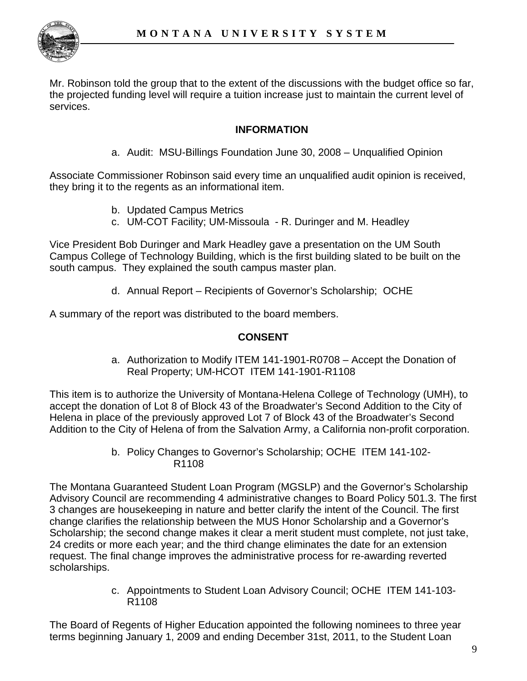

Mr. Robinson told the group that to the extent of the discussions with the budget office so far, the projected funding level will require a tuition increase just to maintain the current level of services.

## **INFORMATION**

a. Audit: MSU-Billings Foundation June 30, 2008 – Unqualified Opinion

Associate Commissioner Robinson said every time an unqualified audit opinion is received, they bring it to the regents as an informational item.

- b. Updated Campus Metrics
- c. UM-COT Facility; UM-Missoula R. Duringer and M. Headley

Vice President Bob Duringer and Mark Headley gave a presentation on the UM South Campus College of Technology Building, which is the first building slated to be built on the south campus. They explained the south campus master plan.

d. Annual Report – Recipients of Governor's Scholarship; OCHE

A summary of the report was distributed to the board members.

## **CONSENT**

a. Authorization to Modify ITEM 141-1901-R0708 – Accept the Donation of Real Property; UM-HCOT ITEM 141-1901-R1108

This item is to authorize the University of Montana-Helena College of Technology (UMH), to accept the donation of Lot 8 of Block 43 of the Broadwater's Second Addition to the City of Helena in place of the previously approved Lot 7 of Block 43 of the Broadwater's Second Addition to the City of Helena of from the Salvation Army, a California non-profit corporation.

> b. Policy Changes to Governor's Scholarship; OCHE ITEM 141-102- R1108

The Montana Guaranteed Student Loan Program (MGSLP) and the Governor's Scholarship Advisory Council are recommending 4 administrative changes to Board Policy 501.3. The first 3 changes are housekeeping in nature and better clarify the intent of the Council. The first change clarifies the relationship between the MUS Honor Scholarship and a Governor's Scholarship; the second change makes it clear a merit student must complete, not just take, 24 credits or more each year; and the third change eliminates the date for an extension request. The final change improves the administrative process for re-awarding reverted scholarships.

> c. Appointments to Student Loan Advisory Council; OCHE ITEM 141-103- R1108

The Board of Regents of Higher Education appointed the following nominees to three year terms beginning January 1, 2009 and ending December 31st, 2011, to the Student Loan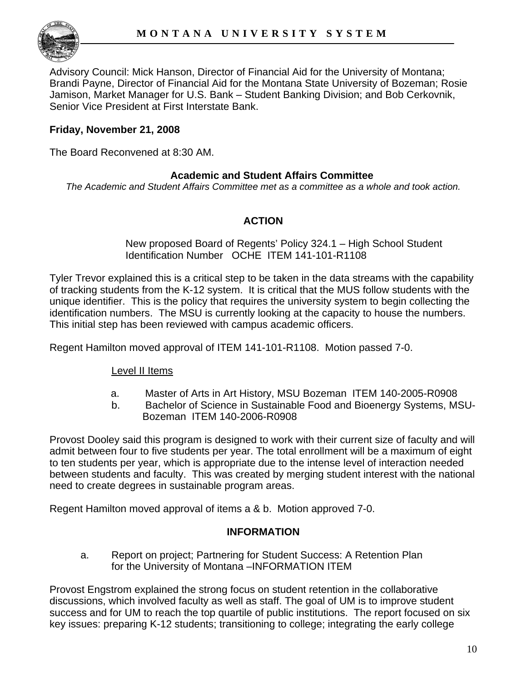

Advisory Council: Mick Hanson, Director of Financial Aid for the University of Montana; Brandi Payne, Director of Financial Aid for the Montana State University of Bozeman; Rosie Jamison, Market Manager for U.S. Bank – Student Banking Division; and Bob Cerkovnik, Senior Vice President at First Interstate Bank.

## **Friday, November 21, 2008**

The Board Reconvened at 8:30 AM.

#### **Academic and Student Affairs Committee**

*The Academic and Student Affairs Committee met as a committee as a whole and took action.* 

#### **ACTION**

#### New proposed Board of Regents' Policy 324.1 – High School Student Identification Number OCHE ITEM 141-101-R1108

Tyler Trevor explained this is a critical step to be taken in the data streams with the capability of tracking students from the K-12 system. It is critical that the MUS follow students with the unique identifier. This is the policy that requires the university system to begin collecting the identification numbers. The MSU is currently looking at the capacity to house the numbers. This initial step has been reviewed with campus academic officers.

Regent Hamilton moved approval of ITEM 141-101-R1108. Motion passed 7-0.

#### Level II Items

- a. Master of Arts in Art History, MSU Bozeman ITEM 140-2005-R0908
- b. Bachelor of Science in Sustainable Food and Bioenergy Systems, MSU-Bozeman ITEM 140-2006-R0908

Provost Dooley said this program is designed to work with their current size of faculty and will admit between four to five students per year. The total enrollment will be a maximum of eight to ten students per year, which is appropriate due to the intense level of interaction needed between students and faculty. This was created by merging student interest with the national need to create degrees in sustainable program areas.

Regent Hamilton moved approval of items a & b. Motion approved 7-0.

#### **INFORMATION**

 a. Report on project; Partnering for Student Success: A Retention Plan for the University of Montana –INFORMATION ITEM

Provost Engstrom explained the strong focus on student retention in the collaborative discussions, which involved faculty as well as staff. The goal of UM is to improve student success and for UM to reach the top quartile of public institutions. The report focused on six key issues: preparing K-12 students; transitioning to college; integrating the early college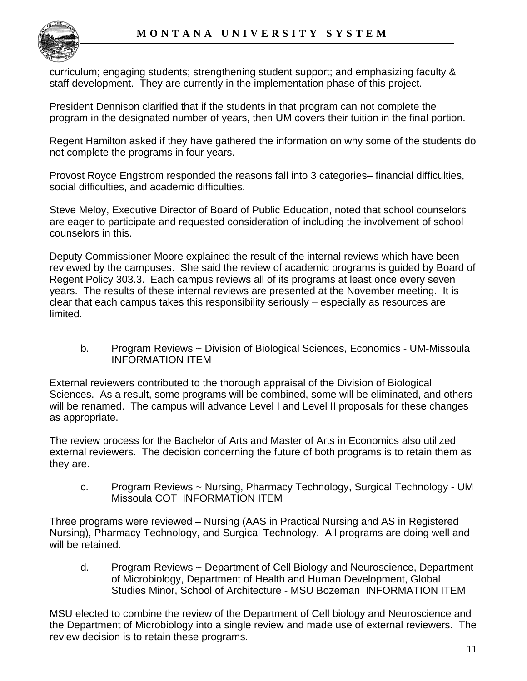

curriculum; engaging students; strengthening student support; and emphasizing faculty & staff development. They are currently in the implementation phase of this project.

President Dennison clarified that if the students in that program can not complete the program in the designated number of years, then UM covers their tuition in the final portion.

Regent Hamilton asked if they have gathered the information on why some of the students do not complete the programs in four years.

Provost Royce Engstrom responded the reasons fall into 3 categories– financial difficulties, social difficulties, and academic difficulties.

Steve Meloy, Executive Director of Board of Public Education, noted that school counselors are eager to participate and requested consideration of including the involvement of school counselors in this.

Deputy Commissioner Moore explained the result of the internal reviews which have been reviewed by the campuses. She said the review of academic programs is guided by Board of Regent Policy 303.3. Each campus reviews all of its programs at least once every seven years. The results of these internal reviews are presented at the November meeting. It is clear that each campus takes this responsibility seriously – especially as resources are limited.

b. Program Reviews ~ Division of Biological Sciences, Economics - UM-Missoula INFORMATION ITEM

External reviewers contributed to the thorough appraisal of the Division of Biological Sciences. As a result, some programs will be combined, some will be eliminated, and others will be renamed. The campus will advance Level I and Level II proposals for these changes as appropriate.

The review process for the Bachelor of Arts and Master of Arts in Economics also utilized external reviewers. The decision concerning the future of both programs is to retain them as they are.

c. Program Reviews ~ Nursing, Pharmacy Technology, Surgical Technology - UM Missoula COT INFORMATION ITEM

Three programs were reviewed – Nursing (AAS in Practical Nursing and AS in Registered Nursing), Pharmacy Technology, and Surgical Technology. All programs are doing well and will be retained.

d. Program Reviews ~ Department of Cell Biology and Neuroscience, Department of Microbiology, Department of Health and Human Development, Global Studies Minor, School of Architecture - MSU Bozeman INFORMATION ITEM

MSU elected to combine the review of the Department of Cell biology and Neuroscience and the Department of Microbiology into a single review and made use of external reviewers. The review decision is to retain these programs.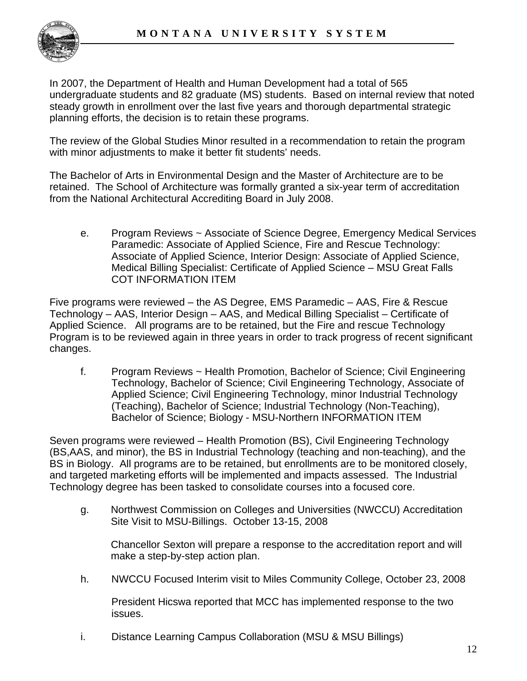

In 2007, the Department of Health and Human Development had a total of 565 undergraduate students and 82 graduate (MS) students. Based on internal review that noted steady growth in enrollment over the last five years and thorough departmental strategic planning efforts, the decision is to retain these programs.

The review of the Global Studies Minor resulted in a recommendation to retain the program with minor adjustments to make it better fit students' needs.

The Bachelor of Arts in Environmental Design and the Master of Architecture are to be retained. The School of Architecture was formally granted a six-year term of accreditation from the National Architectural Accrediting Board in July 2008.

e. Program Reviews ~ Associate of Science Degree, Emergency Medical Services Paramedic: Associate of Applied Science, Fire and Rescue Technology: Associate of Applied Science, Interior Design: Associate of Applied Science, Medical Billing Specialist: Certificate of Applied Science – MSU Great Falls COT INFORMATION ITEM

Five programs were reviewed – the AS Degree, EMS Paramedic – AAS, Fire & Rescue Technology – AAS, Interior Design – AAS, and Medical Billing Specialist – Certificate of Applied Science. All programs are to be retained, but the Fire and rescue Technology Program is to be reviewed again in three years in order to track progress of recent significant changes.

f. Program Reviews ~ Health Promotion, Bachelor of Science; Civil Engineering Technology, Bachelor of Science; Civil Engineering Technology, Associate of Applied Science; Civil Engineering Technology, minor Industrial Technology (Teaching), Bachelor of Science; Industrial Technology (Non-Teaching), Bachelor of Science; Biology - MSU-Northern INFORMATION ITEM

Seven programs were reviewed – Health Promotion (BS), Civil Engineering Technology (BS,AAS, and minor), the BS in Industrial Technology (teaching and non-teaching), and the BS in Biology. All programs are to be retained, but enrollments are to be monitored closely, and targeted marketing efforts will be implemented and impacts assessed. The Industrial Technology degree has been tasked to consolidate courses into a focused core.

g. Northwest Commission on Colleges and Universities (NWCCU) Accreditation Site Visit to MSU-Billings. October 13-15, 2008

Chancellor Sexton will prepare a response to the accreditation report and will make a step-by-step action plan.

h. NWCCU Focused Interim visit to Miles Community College, October 23, 2008

President Hicswa reported that MCC has implemented response to the two issues.

i. Distance Learning Campus Collaboration (MSU & MSU Billings)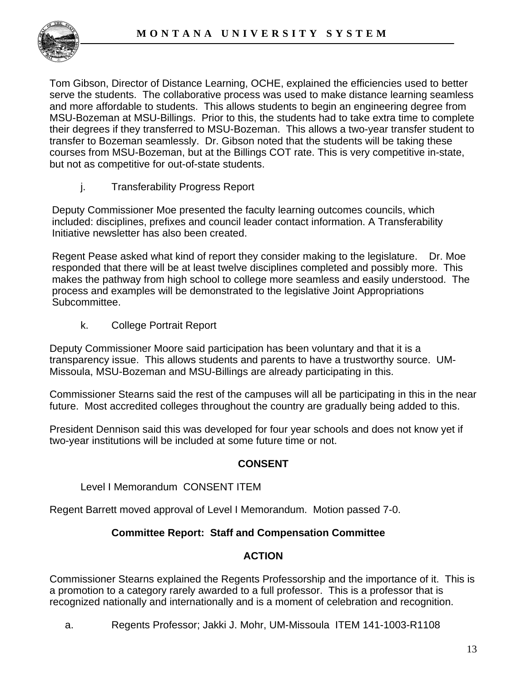

Tom Gibson, Director of Distance Learning, OCHE, explained the efficiencies used to better serve the students. The collaborative process was used to make distance learning seamless and more affordable to students. This allows students to begin an engineering degree from MSU-Bozeman at MSU-Billings. Prior to this, the students had to take extra time to complete their degrees if they transferred to MSU-Bozeman. This allows a two-year transfer student to transfer to Bozeman seamlessly. Dr. Gibson noted that the students will be taking these courses from MSU-Bozeman, but at the Billings COT rate. This is very competitive in-state, but not as competitive for out-of-state students.

j. Transferability Progress Report

Deputy Commissioner Moe presented the faculty learning outcomes councils, which included: disciplines, prefixes and council leader contact information. A Transferability Initiative newsletter has also been created.

Regent Pease asked what kind of report they consider making to the legislature. Dr. Moe responded that there will be at least twelve disciplines completed and possibly more. This makes the pathway from high school to college more seamless and easily understood. The process and examples will be demonstrated to the legislative Joint Appropriations Subcommittee.

k. College Portrait Report

Deputy Commissioner Moore said participation has been voluntary and that it is a transparency issue. This allows students and parents to have a trustworthy source. UM-Missoula, MSU-Bozeman and MSU-Billings are already participating in this.

Commissioner Stearns said the rest of the campuses will all be participating in this in the near future. Most accredited colleges throughout the country are gradually being added to this.

President Dennison said this was developed for four year schools and does not know yet if two-year institutions will be included at some future time or not.

## **CONSENT**

Level I Memorandum CONSENT ITEM

Regent Barrett moved approval of Level I Memorandum. Motion passed 7-0.

## **Committee Report: Staff and Compensation Committee**

## **ACTION**

Commissioner Stearns explained the Regents Professorship and the importance of it. This is a promotion to a category rarely awarded to a full professor. This is a professor that is recognized nationally and internationally and is a moment of celebration and recognition.

a. Regents Professor; Jakki J. Mohr, UM-Missoula ITEM 141-1003-R1108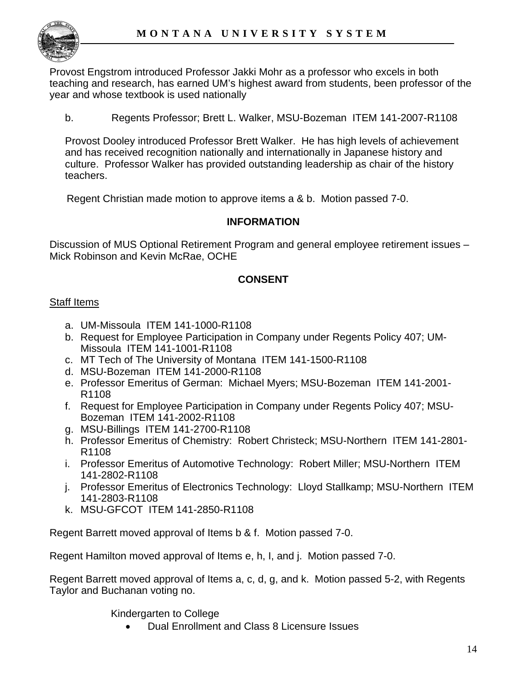

Provost Engstrom introduced Professor Jakki Mohr as a professor who excels in both teaching and research, has earned UM's highest award from students, been professor of the year and whose textbook is used nationally

b. Regents Professor; Brett L. Walker, MSU-Bozeman ITEM 141-2007-R1108

Provost Dooley introduced Professor Brett Walker. He has high levels of achievement and has received recognition nationally and internationally in Japanese history and culture. Professor Walker has provided outstanding leadership as chair of the history teachers.

Regent Christian made motion to approve items a & b. Motion passed 7-0.

## **INFORMATION**

Discussion of MUS Optional Retirement Program and general employee retirement issues – Mick Robinson and Kevin McRae, OCHE

# **CONSENT**

#### Staff Items

- a. UM-Missoula ITEM 141-1000-R1108
- b. Request for Employee Participation in Company under Regents Policy 407; UM-Missoula ITEM 141-1001-R1108
- c. MT Tech of The University of Montana ITEM 141-1500-R1108
- d. MSU-Bozeman ITEM 141-2000-R1108
- e. Professor Emeritus of German: Michael Myers; MSU-Bozeman ITEM 141-2001- R1108
- f. Request for Employee Participation in Company under Regents Policy 407; MSU-Bozeman ITEM 141-2002-R1108
- g. MSU-Billings ITEM 141-2700-R1108
- h. Professor Emeritus of Chemistry: Robert Christeck; MSU-Northern ITEM 141-2801- R1108
- i. Professor Emeritus of Automotive Technology: Robert Miller; MSU-Northern ITEM 141-2802-R1108
- j. Professor Emeritus of Electronics Technology: Lloyd Stallkamp; MSU-Northern ITEM 141-2803-R1108
- k. MSU-GFCOT ITEM 141-2850-R1108

Regent Barrett moved approval of Items b & f. Motion passed 7-0.

Regent Hamilton moved approval of Items e, h, I, and j. Motion passed 7-0.

Regent Barrett moved approval of Items a, c, d, g, and k. Motion passed 5-2, with Regents Taylor and Buchanan voting no.

Kindergarten to College

• Dual Enrollment and Class 8 Licensure Issues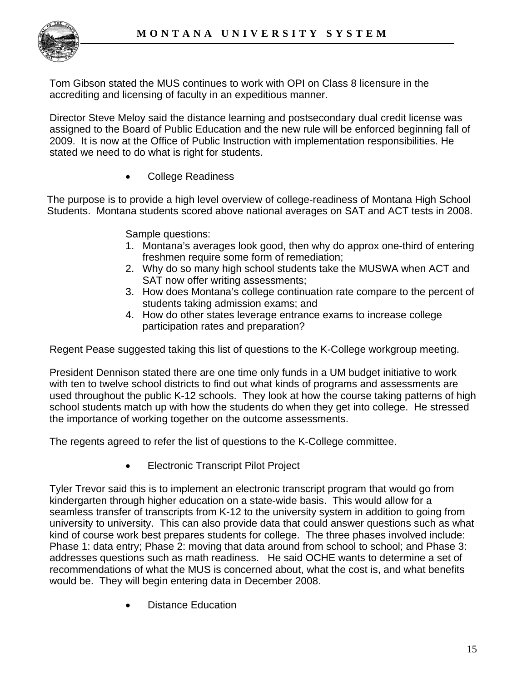

Tom Gibson stated the MUS continues to work with OPI on Class 8 licensure in the accrediting and licensing of faculty in an expeditious manner.

Director Steve Meloy said the distance learning and postsecondary dual credit license was assigned to the Board of Public Education and the new rule will be enforced beginning fall of 2009. It is now at the Office of Public Instruction with implementation responsibilities. He stated we need to do what is right for students.

• College Readiness

The purpose is to provide a high level overview of college-readiness of Montana High School Students. Montana students scored above national averages on SAT and ACT tests in 2008.

Sample questions:

- 1. Montana's averages look good, then why do approx one-third of entering freshmen require some form of remediation;
- 2. Why do so many high school students take the MUSWA when ACT and SAT now offer writing assessments;
- 3. How does Montana's college continuation rate compare to the percent of students taking admission exams; and
- 4. How do other states leverage entrance exams to increase college participation rates and preparation?

Regent Pease suggested taking this list of questions to the K-College workgroup meeting.

President Dennison stated there are one time only funds in a UM budget initiative to work with ten to twelve school districts to find out what kinds of programs and assessments are used throughout the public K-12 schools. They look at how the course taking patterns of high school students match up with how the students do when they get into college. He stressed the importance of working together on the outcome assessments.

The regents agreed to refer the list of questions to the K-College committee.

• Electronic Transcript Pilot Project

Tyler Trevor said this is to implement an electronic transcript program that would go from kindergarten through higher education on a state-wide basis. This would allow for a seamless transfer of transcripts from K-12 to the university system in addition to going from university to university. This can also provide data that could answer questions such as what kind of course work best prepares students for college. The three phases involved include: Phase 1: data entry; Phase 2: moving that data around from school to school; and Phase 3: addresses questions such as math readiness. He said OCHE wants to determine a set of recommendations of what the MUS is concerned about, what the cost is, and what benefits would be. They will begin entering data in December 2008.

• Distance Education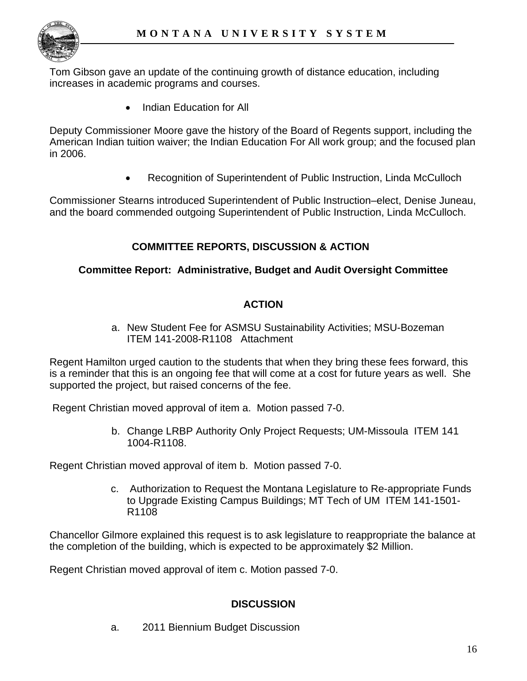

Tom Gibson gave an update of the continuing growth of distance education, including increases in academic programs and courses.

• Indian Education for All

Deputy Commissioner Moore gave the history of the Board of Regents support, including the American Indian tuition waiver; the Indian Education For All work group; and the focused plan in 2006.

• Recognition of Superintendent of Public Instruction, Linda McCulloch

Commissioner Stearns introduced Superintendent of Public Instruction–elect, Denise Juneau, and the board commended outgoing Superintendent of Public Instruction, Linda McCulloch.

# **COMMITTEE REPORTS, DISCUSSION & ACTION**

#### **Committee Report: Administrative, Budget and Audit Oversight Committee**

## **ACTION**

a. New Student Fee for ASMSU Sustainability Activities; MSU-Bozeman ITEM 141-2008-R1108 Attachment

Regent Hamilton urged caution to the students that when they bring these fees forward, this is a reminder that this is an ongoing fee that will come at a cost for future years as well. She supported the project, but raised concerns of the fee.

Regent Christian moved approval of item a. Motion passed 7-0.

b. Change LRBP Authority Only Project Requests; UM-Missoula ITEM 141 1004-R1108.

Regent Christian moved approval of item b. Motion passed 7-0.

c. Authorization to Request the Montana Legislature to Re-appropriate Funds to Upgrade Existing Campus Buildings; MT Tech of UM ITEM 141-1501- R1108

Chancellor Gilmore explained this request is to ask legislature to reappropriate the balance at the completion of the building, which is expected to be approximately \$2 Million.

Regent Christian moved approval of item c. Motion passed 7-0.

#### **DISCUSSION**

a. 2011 Biennium Budget Discussion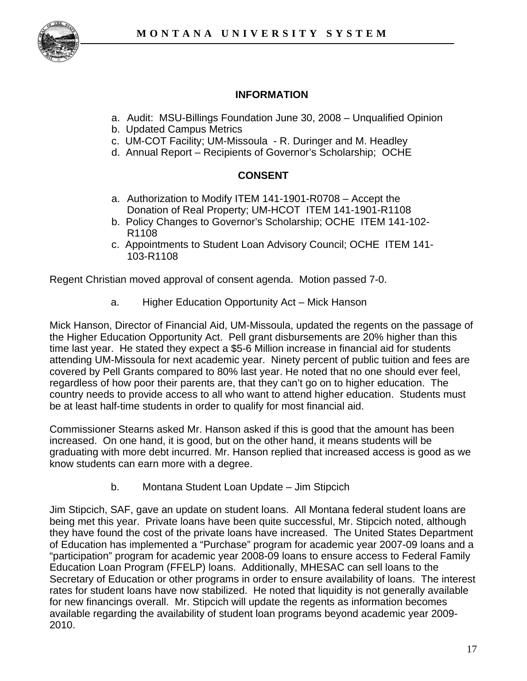

## **INFORMATION**

- a. Audit: MSU-Billings Foundation June 30, 2008 Unqualified Opinion
- b. Updated Campus Metrics
- c. UM-COT Facility; UM-Missoula R. Duringer and M. Headley
- d. Annual Report Recipients of Governor's Scholarship; OCHE

## **CONSENT**

- a. Authorization to Modify ITEM 141-1901-R0708 Accept the Donation of Real Property; UM-HCOT ITEM 141-1901-R1108
- b. Policy Changes to Governor's Scholarship; OCHE ITEM 141-102- R1108
- c. Appointments to Student Loan Advisory Council; OCHE ITEM 141- 103-R1108

Regent Christian moved approval of consent agenda. Motion passed 7-0.

a. Higher Education Opportunity Act – Mick Hanson

Mick Hanson, Director of Financial Aid, UM-Missoula, updated the regents on the passage of the Higher Education Opportunity Act. Pell grant disbursements are 20% higher than this time last year. He stated they expect a \$5-6 Million increase in financial aid for students attending UM-Missoula for next academic year. Ninety percent of public tuition and fees are covered by Pell Grants compared to 80% last year. He noted that no one should ever feel, regardless of how poor their parents are, that they can't go on to higher education. The country needs to provide access to all who want to attend higher education. Students must be at least half-time students in order to qualify for most financial aid.

Commissioner Stearns asked Mr. Hanson asked if this is good that the amount has been increased. On one hand, it is good, but on the other hand, it means students will be graduating with more debt incurred. Mr. Hanson replied that increased access is good as we know students can earn more with a degree.

b. Montana Student Loan Update – Jim Stipcich

Jim Stipcich, SAF, gave an update on student loans. All Montana federal student loans are being met this year. Private loans have been quite successful, Mr. Stipcich noted, although they have found the cost of the private loans have increased. The United States Department of Education has implemented a "Purchase" program for academic year 2007-09 loans and a "participation" program for academic year 2008-09 loans to ensure access to Federal Family Education Loan Program (FFELP) loans. Additionally, MHESAC can sell loans to the Secretary of Education or other programs in order to ensure availability of loans. The interest rates for student loans have now stabilized. He noted that liquidity is not generally available for new financings overall. Mr. Stipcich will update the regents as information becomes available regarding the availability of student loan programs beyond academic year 2009- 2010.